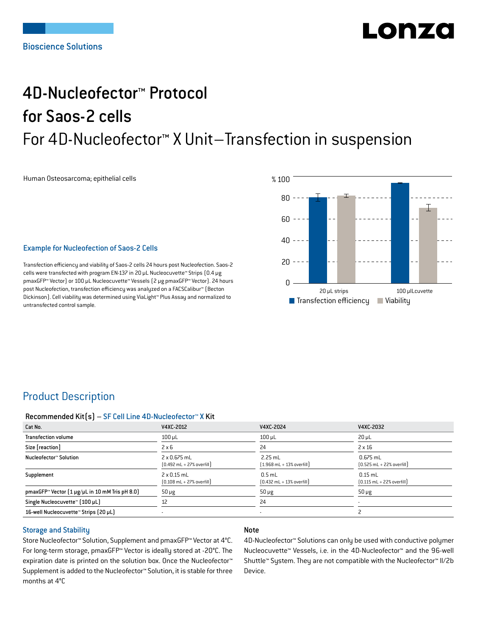# LONZ

## 4D-Nucleofector™ Protocol for Saos-2 cells For 4D-Nucleofector™ X Unit–Transfection in suspension

Human Osteosarcoma; epithelial cells

#### Example for Nucleofection of Saos-2 Cells

Transfection efficiency and viability of Saos-2 cells 24 hours post Nucleofection. Saos-2 cells were transfected with program EN-137 in 20 μL Nucleocuvette™ Strips (0.4 μg pmaxGFP™ Vector) or 100 μL Nucleocuvette™ Vessels (2 μg pmaxGFP™ Vector). 24 hours post Nucleofection, transfection efficiency was analyzed on a FACSCalibur™ (Becton Dickinson). Cell viability was determined using ViaLight™ Plus Assay and normalized to untransfected control sample.



## Product Description

## Recommended Kit(s) – SF Cell Line 4D-Nucleofector™ X Kit

| Cat No.                                                            | V4XC-2012                                                           | V4XC-2024                                                 | V4XC-2032                                                  |
|--------------------------------------------------------------------|---------------------------------------------------------------------|-----------------------------------------------------------|------------------------------------------------------------|
| <b>Transfection volume</b>                                         | $100 \mu L$                                                         | $100$ µL                                                  | $20 \mu L$                                                 |
| Size [reaction]                                                    | $2 \times 6$                                                        | 24                                                        | $2 \times 16$                                              |
| Nucleofector™ Solution                                             | $2 \times 0.675$ mL<br>$[0.492 \text{ mL} + 27\% \text{ overfill}]$ | $2.25$ mL<br>$(1.968 \text{ mL} + 13\% \text{ overfill})$ | $0.675$ mL<br>$[0.525 \text{ mL} + 22\% \text{ overfill}]$ |
| Supplement                                                         | $2 \times 0.15$ mL<br>$[0.108 \text{ mL} + 27\% \text{ overfill}]$  | $0.5$ mL<br>$[0.432 \text{ mL} + 13\% \text{ overfill}]$  | $0.15$ mL<br>$[0.115 \text{ mL} + 22\% \text{ overfill}]$  |
| pmaxGFP <sup>*</sup> Vector $[1 \mu g/\mu L$ in 10 mM Tris pH 8.0) | $50 \mu g$                                                          | $50 \mu g$                                                | $50 \mu g$                                                 |
| Single Nucleocuvette™ (100 µL)                                     | 12                                                                  | 24                                                        |                                                            |
| 16-well Nucleocuvette™ Strips (20 µL)                              |                                                                     |                                                           |                                                            |

#### Storage and Stability

Store Nucleofector™ Solution, Supplement and pmaxGFP™ Vector at 4°C. For long-term storage, pmaxGFP™ Vector is ideally stored at -20°C. The expiration date is printed on the solution box. Once the Nucleofector™ Supplement is added to the Nucleofector™ Solution, it is stable for three months at 4°C

## Note

4D-Nucleofector™ Solutions can only be used with conductive polymer Nucleocuvette™ Vessels, i.e. in the 4D-Nucleofector™ and the 96-well Shuttle™ System. They are not compatible with the Nucleofector™ II/2b Device.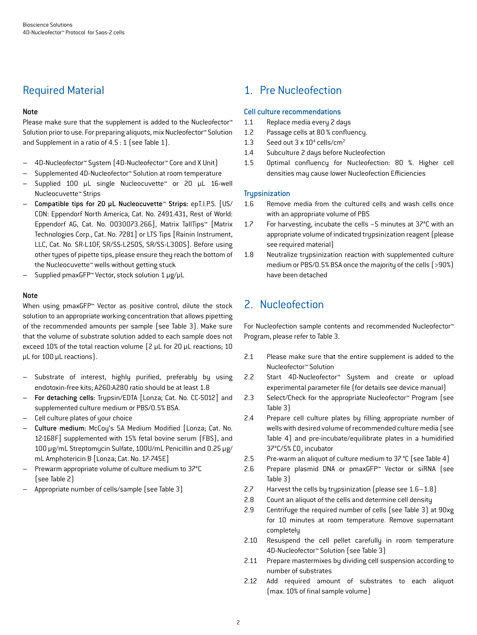## Required Material

## Note

Please make sure that the supplement is added to the Nucleofector<sup>™</sup> Solution prior to use. For preparing aliquots, mix Nucleofector™ Solution and Supplement in a ratio of 4.5 : 1 (see Table 1).

- 4D-Nucleofector™ System (4D-Nucleofector™ Core and X Unit)
- Supplemented 4D-Nucleofector™ Solution at room temperature
- Supplied 100 µL single Nucleocuvette™ or 20 µL 16-well Nucleocuvette™ Strips
- Compatible tips for 20 µL Nucleocuvette™ Strips: epT.I.P.S. [US/ CDN: Eppendorf North America, Cat. No. 2491.431, Rest of World: Eppendorf AG, Cat. No. 0030073.266], Matrix TallTips™ [Matrix Technologies Corp., Cat. No. 7281] or LTS Tips [Rainin Instrument, LLC, Cat. No. SR-L10F, SR/SS-L250S, SR/SS-L300S]. Before using other types of pipette tips, please ensure they reach the bottom of the Nucleocuvette™ wells without getting stuck
- Supplied pmaxGFP™ Vector, stock solution 1 μg/μL

## Note

When using pmaxGFP™ Vector as positive control, dilute the stock solution to an appropriate working concentration that allows pipetting of the recommended amounts per sample (see Table 3). Make sure that the volume of substrate solution added to each sample does not exceed 10% of the total reaction volume (2 μL for 20 μL reactions; 10 μL for 100 μL reactions).

- Substrate of interest, highly purified, preferably by using endotoxin-free kits; A260:A280 ratio should be at least 1.8
- For detaching cells: Trypsin/EDTA [Lonza; Cat. No. CC-5012] and supplemented culture medium or PBS/0.5% BSA.
- Cell culture plates of your choice
- Culture medium: McCoy's 5A Medium Modified [Lonza; Cat. No. 12-168F] supplemented with 15% fetal bovine serum (FBS), and 100 µg/mL Streptomycin Sulfate, 100U/mL Penicillin and 0.25 µg/ mL Amphotericin B [Lonza; Cat. No. 17-745E]
- Prewarm appropriate volume of culture medium to 37°C (see Table 2)
- Appropriate number of cells/sample (see Table 3)

## 1. Pre Nucleofection

## Cell culture recommendations

- 1.1 Replace media every 2 days
- 1.2 Passage cells at 80 % confluency.
- 1.3 Seed out  $3 \times 10^4$  cells/cm<sup>2</sup>
- 1.4 Subculture 2 days before Nucleofection
- 1.5 Optimal confluency for Nucleofection: 80 %. Higher cell densities may cause lower Nucleofection Efficiencies

## **Trypsinization**

- 1.6 Remove media from the cultured cells and wash cells once with an appropriate volume of PBS
- 1.7 For harvesting, incubate the cells ~5 minutes at 37°C with an appropriate volume of indicated trypsinization reagent (please see required material)
- 1.8 Neutralize trypsinization reaction with supplemented culture medium or PBS/0.5% BSA once the majority of the cells (>90%) have been detached

## 2. Nucleofection

For Nucleofection sample contents and recommended Nucleofector™ Program, please refer to Table 3.

- 2.1 Please make sure that the entire supplement is added to the Nucleofector™ Solution
- 2.2 Start 4D-Nucleofector™ System and create or upload experimental parameter file (for details see device manual)
- 2.3 Select/Check for the appropriate Nucleofector™ Program (see Table 3)
- 2.4 Prepare cell culture plates by filling appropriate number of wells with desired volume of recommended culture media (see Table 4) and pre-incubate/equilibrate plates in a humidified 37°C/5% CO<sub>2</sub> incubator
- 2.5 Pre-warm an aliquot of culture medium to 37°C (see Table 4)
- 2.6 Prepare plasmid DNA or pmaxGFP™ Vector or siRNA (see Table 3)
- 2.7 Harvest the cells by trypsinization (please see 1.6–1.8)
- 2.8 Count an aliquot of the cells and determine cell density
- 2.9 Centrifuge the required number of cells (see Table 3) at 90xg for 10 minutes at room temperature. Remove supernatant completely
- 2.10 Resuspend the cell pellet carefully in room temperature 4D-Nucleofector™ Solution (see Table 3)
- 2.11 Prepare mastermixes by dividing cell suspension according to number of substrates
- 2.12 Add required amount of substrates to each aliquot (max. 10% of final sample volume)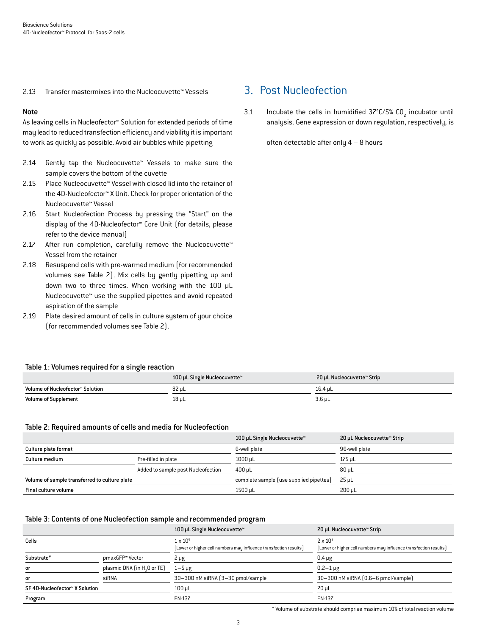2.13 Transfer mastermixes into the Nucleocuvette™ Vessels

## Note

As leaving cells in Nucleofector™ Solution for extended periods of time may lead to reduced transfection efficiency and viability it is important to work as quickly as possible. Avoid air bubbles while pipetting

- 2.14 Gently tap the Nucleocuvette™ Vessels to make sure the sample covers the bottom of the cuvette
- 2.15 Place Nucleocuvette™ Vessel with closed lid into the retainer of the 4D-Nucleofector™ X Unit. Check for proper orientation of the Nucleocuvette™ Vessel
- 2.16 Start Nucleofection Process by pressing the "Start" on the display of the 4D-Nucleofector™ Core Unit (for details, please refer to the device manual)
- 2.17 After run completion, carefully remove the Nucleocuvette™ Vessel from the retainer
- 2.18 Resuspend cells with pre-warmed medium (for recommended volumes see Table 2). Mix cells by gently pipetting up and down two to three times. When working with the 100 µL Nucleocuvette™ use the supplied pipettes and avoid repeated aspiration of the sample
- 2.19 Plate desired amount of cells in culture system of your choice (for recommended volumes see Table 2).

## 3. Post Nucleofection

3.1 Incubate the cells in humidified  $37^{\circ}$ C/5% CO<sub>2</sub> incubator until analysis. Gene expression or down regulation, respectively, is

often detectable after only  $4 - 8$  hours

|                                  | 100 µL Single Nucleocuvette™ | 20 µL Nucleocuvette™ Strip |
|----------------------------------|------------------------------|----------------------------|
| Volume of Nucleofector™ Solution | 82 uL                        | 16.4 uL                    |
| <b>Volume of Supplement</b>      | 18 µL                        | $3.6 \mu L$                |

#### Table 2: Required amounts of cells and media for Nucleofection

|                                               |                                    | 100 µL Single Nucleocuvette™            | 20 µL Nucleocuvette™ Strip |
|-----------------------------------------------|------------------------------------|-----------------------------------------|----------------------------|
| Culture plate format                          |                                    | 6-well plate                            | 96-well plate              |
| Culture medium                                | Pre-filled in plate                | $1000 \mu L$                            | 175 µL                     |
|                                               | Added to sample post Nucleofection | $400 \mu L$                             | $80 \mu L$                 |
| Volume of sample transferred to culture plate |                                    | complete sample (use supplied pipettes) | $25 \mu L$                 |
| Final culture volume                          |                                    | 1500 µL                                 | 200 uL                     |

#### Table 3: Contents of one Nucleofection sample and recommended program

|                                |                                         | 100 µL Single Nucleocuvette™                                                         | 20 µL Nucleocuvette™ Strip                                                             |
|--------------------------------|-----------------------------------------|--------------------------------------------------------------------------------------|----------------------------------------------------------------------------------------|
| Cells                          |                                         | $1 \times 10^6$<br>(Lower or higher cell numbers may influence transfection results) | $2 \times 10^{5}$<br>[Lower or higher cell numbers may influence transfection results] |
| Substrate*                     | pmaxGFP™ Vector                         | $2 \mu g$                                                                            | $0.4 \mu g$                                                                            |
| <b>or</b>                      | plasmid DNA (in H <sub>2</sub> O or TE) | $1-5 \mu g$                                                                          | $0.2 - 1 \,\mu g$                                                                      |
| <b>or</b>                      | siRNA                                   | 30-300 nM siRNA (3-30 pmol/sample)                                                   | 30-300 nM siRNA [0.6-6 pmol/sample]                                                    |
| SF 4D-Nucleofector™ X Solution |                                         | $100 \mu L$                                                                          | $20 \mu L$                                                                             |
| Program                        |                                         | EN-137                                                                               | EN-137                                                                                 |

\* Volume of substrate should comprise maximum 10% of total reaction volume